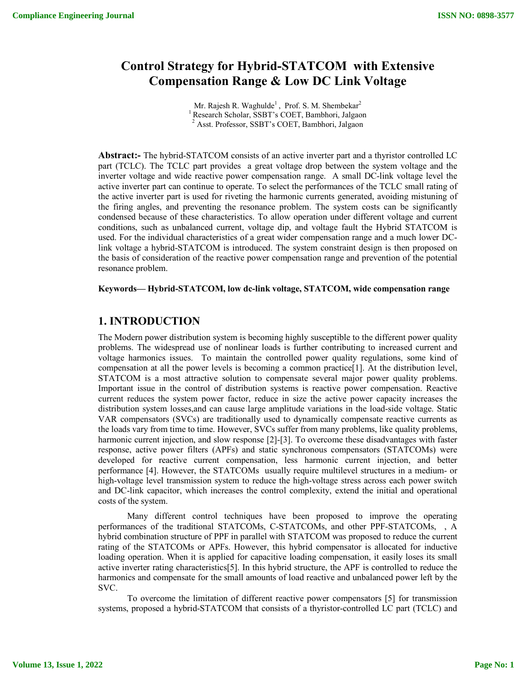# **Control Strategy for Hybrid-STATCOM with Extensive Compensation Range & Low DC Link Voltage**

Mr. Rajesh R. Waghulde<sup>1</sup>, Prof. S. M. Shembekar<sup>2</sup> <sup>1</sup> Research Scholar, SSBT's COET, Bambhori, Jalgaon <sup>2</sup> Asst. Professor, SSBT's COET, Bambhori, Jalgaon

**Abstract:-** The hybrid-STATCOM consists of an active inverter part and a thyristor controlled LC part (TCLC). The TCLC part provides a great voltage drop between the system voltage and the inverter voltage and wide reactive power compensation range. A small DC-link voltage level the active inverter part can continue to operate. To select the performances of the TCLC small rating of the active inverter part is used for riveting the harmonic currents generated, avoiding mistuning of the firing angles, and preventing the resonance problem. The system costs can be significantly condensed because of these characteristics. To allow operation under different voltage and current conditions, such as unbalanced current, voltage dip, and voltage fault the Hybrid STATCOM is used. For the individual characteristics of a great wider compensation range and a much lower DClink voltage a hybrid-STATCOM is introduced. The system constraint design is then proposed on the basis of consideration of the reactive power compensation range and prevention of the potential resonance problem.

**Keywords— Hybrid-STATCOM, low dc-link voltage, STATCOM, wide compensation range**

## **1. INTRODUCTION**

The Modern power distribution system is becoming highly susceptible to the different power quality problems. The widespread use of nonlinear loads is further contributing to increased current and voltage harmonics issues. To maintain the controlled power quality regulations, some kind of compensation at all the power levels is becoming a common practice[1]. At the distribution level, STATCOM is a most attractive solution to compensate several major power quality problems. Important issue in the control of distribution systems is reactive power compensation. Reactive current reduces the system power factor, reduce in size the active power capacity increases the distribution system losses,and can cause large amplitude variations in the load-side voltage. Static VAR compensators (SVCs) are traditionally used to dynamically compensate reactive currents as the loads vary from time to time. However, SVCs suffer from many problems, like quality problems, harmonic current injection, and slow response [2]-[3]. To overcome these disadvantages with faster response, active power filters (APFs) and static synchronous compensators (STATCOMs) were developed for reactive current compensation, less harmonic current injection, and better performance [4]. However, the STATCOMs usually require multilevel structures in a medium- or high-voltage level transmission system to reduce the high-voltage stress across each power switch and DC-link capacitor, which increases the control complexity, extend the initial and operational costs of the system.

Many different control techniques have been proposed to improve the operating performances of the traditional STATCOMs, C-STATCOMs, and other PPF-STATCOMs, , A hybrid combination structure of PPF in parallel with STATCOM was proposed to reduce the current rating of the STATCOMs or APFs. However, this hybrid compensator is allocated for inductive loading operation. When it is applied for capacitive loading compensation, it easily loses its small active inverter rating characteristics[5]. In this hybrid structure, the APF is controlled to reduce the harmonics and compensate for the small amounts of load reactive and unbalanced power left by the SVC.

To overcome the limitation of different reactive power compensators [5] for transmission systems, proposed a hybrid-STATCOM that consists of a thyristor-controlled LC part (TCLC) and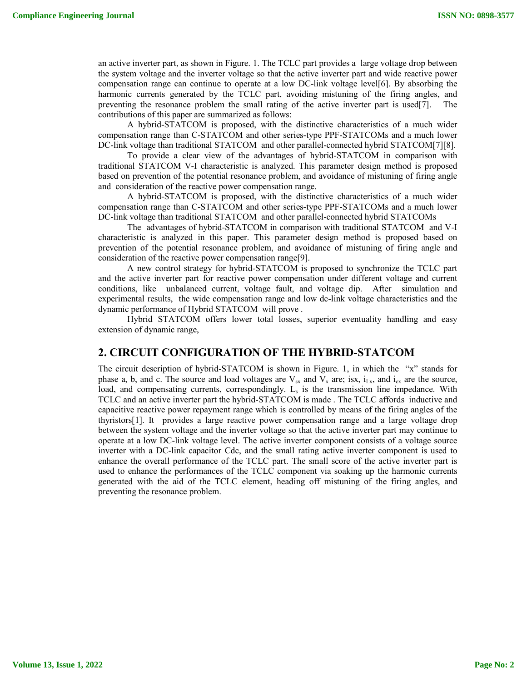an active inverter part, as shown in Figure. 1. The TCLC part provides a large voltage drop between the system voltage and the inverter voltage so that the active inverter part and wide reactive power compensation range can continue to operate at a low DC-link voltage level[6]. By absorbing the harmonic currents generated by the TCLC part, avoiding mistuning of the firing angles, and preventing the resonance problem the small rating of the active inverter part is used[7]. contributions of this paper are summarized as follows:

A hybrid-STATCOM is proposed, with the distinctive characteristics of a much wider compensation range than C-STATCOM and other series-type PPF-STATCOMs and a much lower DC-link voltage than traditional STATCOM and other parallel-connected hybrid STATCOM[7][8].

To provide a clear view of the advantages of hybrid-STATCOM in comparison with traditional STATCOM V-I characteristic is analyzed. This parameter design method is proposed based on prevention of the potential resonance problem, and avoidance of mistuning of firing angle and consideration of the reactive power compensation range.

A hybrid-STATCOM is proposed, with the distinctive characteristics of a much wider compensation range than C-STATCOM and other series-type PPF-STATCOMs and a much lower DC-link voltage than traditional STATCOM and other parallel-connected hybrid STATCOMs

The advantages of hybrid-STATCOM in comparison with traditional STATCOM and V-I characteristic is analyzed in this paper. This parameter design method is proposed based on prevention of the potential resonance problem, and avoidance of mistuning of firing angle and consideration of the reactive power compensation range[9].

A new control strategy for hybrid-STATCOM is proposed to synchronize the TCLC part and the active inverter part for reactive power compensation under different voltage and current conditions, like unbalanced current, voltage fault, and voltage dip. After simulation and experimental results, the wide compensation range and low dc-link voltage characteristics and the dynamic performance of Hybrid STATCOM will prove .

Hybrid STATCOM offers lower total losses, superior eventuality handling and easy extension of dynamic range,

### **2. CIRCUIT CONFIGURATION OF THE HYBRID-STATCOM**

The circuit description of hybrid-STATCOM is shown in Figure. 1, in which the "x" stands for phase a, b, and c. The source and load voltages are  $V_{sx}$  and  $V_{x}$  are; isx,  $i_{Lx}$ , and  $i_{cx}$  are the source, load, and compensating currents, correspondingly.  $L<sub>s</sub>$  is the transmission line impedance. With TCLC and an active inverter part the hybrid-STATCOM is made . The TCLC affords inductive and capacitive reactive power repayment range which is controlled by means of the firing angles of the thyristors[1]. It provides a large reactive power compensation range and a large voltage drop between the system voltage and the inverter voltage so that the active inverter part may continue to operate at a low DC-link voltage level. The active inverter component consists of a voltage source inverter with a DC-link capacitor Cdc, and the small rating active inverter component is used to enhance the overall performance of the TCLC part. The small score of the active inverter part is used to enhance the performances of the TCLC component via soaking up the harmonic currents generated with the aid of the TCLC element, heading off mistuning of the firing angles, and preventing the resonance problem.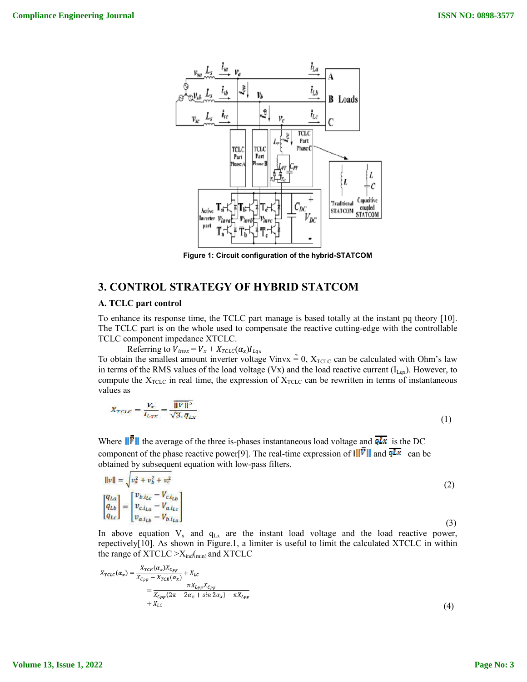

**Figure 1: Circuit configuration of the hybrid-STATCOM**

### **3. CONTROL STRATEGY OF HYBRID STATCOM**

### **A. TCLC part control**

To enhance its response time, the TCLC part manage is based totally at the instant pq theory [10]. The TCLC part is on the whole used to compensate the reactive cutting-edge with the controllable TCLC component impedance XTCLC.

Referring to  $V_{invx} = V_x + X_{TCLC}(\alpha_x)I_{Lqx}$ To obtain the smallest amount inverter voltage Vinvx  $\approx 0$ ,  $X_{\text{TCLC}}$  can be calculated with Ohm's law in terms of the RMS values of the load voltage (Vx) and the load reactive current  $(I_{Lox})$ . However, to compute the  $X<sub>TCLC</sub>$  in real time, the expression of  $X<sub>TCLC</sub>$  can be rewritten in terms of instantaneous values as

$$
X_{TCLC} = \frac{V_x}{I_{Lqx}} = \frac{\overline{||V||^2}}{\sqrt{3}.\,\overline{q}_{Lx}}\tag{1}
$$

Where  $\|\bar{\bar{\mathbf{v}}}\|$  the average of the three is-phases instantaneous load voltage and  $\overline{qLx}$  is the DC component of the phase reactive power[9]. The real-time expression of  $\overline{||| \overline{V} ||}$  and  $\overline{qLx}$  can be obtained by subsequent equation with low-pass filters.

$$
\|v\| = \sqrt{v_a^2 + v_b^2 + v_c^2}
$$
\n
$$
\begin{bmatrix} q_{La} \\ q_{Lb} \\ q_{Lc} \end{bmatrix} = \begin{bmatrix} v_{b.i_{Lc}} - V_{c.i_{Lb}} \\ v_{c.i_{La}} - V_{a.i_{Lc}} \\ v_{a.i_{Lb}} - V_{b.i_{La}} \end{bmatrix}
$$
\n(2)

In above equation  $V_x$  and  $q_{Lx}$  are the instant load voltage and the load reactive power, repectively[10]. As shown in Figure.1, a limiter is useful to limit the calculated XTCLC in within the range of  $XTCLC > X_{ind(min)}$  and  $XTCLC$ 

$$
X_{TCLC}(\alpha_x) = \frac{X_{TCR}(\alpha_x)X_{C_{PF}}}{X_{C_{PF}} - X_{TCR}(\alpha_x)} + X_{LC}
$$
  
= 
$$
\frac{\pi X_{L_{PF}} X_{C_{PF}}}{X_{C_{PF}}(2\pi - 2\alpha_x + \sin 2\alpha_x) - \pi X_{L_{PF}}}
$$
  
+  $X_{LC}$  (4)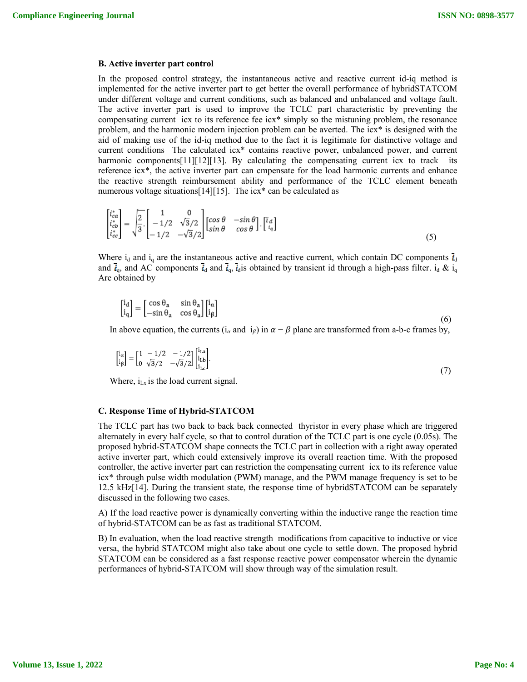#### **B. Active inverter part control**

In the proposed control strategy, the instantaneous active and reactive current id-iq method is implemented for the active inverter part to get better the overall performance of hybridSTATCOM under different voltage and current conditions, such as balanced and unbalanced and voltage fault. The active inverter part is used to improve the TCLC part characteristic by preventing the compensating current icx to its reference fee icx\* simply so the mistuning problem, the resonance problem, and the harmonic modern injection problem can be averted. The icx\* is designed with the aid of making use of the id-iq method due to the fact it is legitimate for distinctive voltage and current conditions The calculated icx\* contains reactive power, unbalanced power, and current harmonic components[11][12][13]. By calculating the compensating current icx to track its reference icx\*, the active inverter part can cmpensate for the load harmonic currents and enhance the reactive strength reimbursement ability and performance of the TCLC element beneath numerous voltage situations[14][15]. The icx\* can be calculated as

$$
\begin{bmatrix} i_{ca}^{*}\\ i_{cb}^{*}\\ i_{cc}^{*} \end{bmatrix} = \sqrt{\frac{2}{3}} \cdot \begin{bmatrix} 1 & 0\\ -1/2 & \sqrt{3}/2\\ -1/2 & -\sqrt{3}/2 \end{bmatrix} \begin{bmatrix} \cos \theta & -\sin \theta\\ \sin \theta & \cos \theta \end{bmatrix} \cdot \begin{bmatrix} i_{d} \\ i_{q} \end{bmatrix}
$$
(5)

Where  $i_d$  and  $i_q$  are the instantaneous active and reactive current, which contain DC components  $\overline{i}_d$ and  $\vec{i}_q$ , and AC components  $\vec{i}_d$  and  $\vec{i}_q$ ,  $\vec{i}_d$  is obtained by transient id through a high-pass filter.  $i_d \& i_q$ Are obtained by

$$
\begin{bmatrix} \mathbf{i}_{\mathbf{d}} \\ \mathbf{i}_{\mathbf{q}} \end{bmatrix} = \begin{bmatrix} \cos \theta_{\mathbf{a}} & \sin \theta_{\mathbf{a}} \\ -\sin \theta_{\mathbf{a}} & \cos \theta_{\mathbf{a}} \end{bmatrix} \begin{bmatrix} \mathbf{i}_{\alpha} \\ \mathbf{i}_{\beta} \end{bmatrix}
$$
(6)

In above equation, the currents (i<sub> $\alpha$ </sub> and i<sub> $\beta$ </sub>) in  $\alpha - \beta$  plane are transformed from a-b-c frames by,

$$
\begin{bmatrix} i_{\alpha} \\ i_{\beta} \end{bmatrix} = \begin{bmatrix} 1 & -1/2 & -1/2 \\ 0 & \sqrt{3}/2 & -\sqrt{3}/2 \end{bmatrix} \begin{bmatrix} i_{\text{La}} \\ i_{\text{Lb}} \\ i_{\text{Lc}} \end{bmatrix} . \tag{7}
$$

Where,  $i_{Lx}$  is the load current signal.

#### **C. Response Time of Hybrid-STATCOM**

The TCLC part has two back to back back connected thyristor in every phase which are triggered alternately in every half cycle, so that to control duration of the TCLC part is one cycle (0.05s). The proposed hybrid-STATCOM shape connects the TCLC part in collection with a right away operated active inverter part, which could extensively improve its overall reaction time. With the proposed controller, the active inverter part can restriction the compensating current icx to its reference value icx\* through pulse width modulation (PWM) manage, and the PWM manage frequency is set to be 12.5 kHz[14]. During the transient state, the response time of hybridSTATCOM can be separately discussed in the following two cases.

A) If the load reactive power is dynamically converting within the inductive range the reaction time of hybrid-STATCOM can be as fast as traditional STATCOM.

B) In evaluation, when the load reactive strength modifications from capacitive to inductive or vice versa, the hybrid STATCOM might also take about one cycle to settle down. The proposed hybrid STATCOM can be considered as a fast response reactive power compensator wherein the dynamic performances of hybrid-STATCOM will show through way of the simulation result.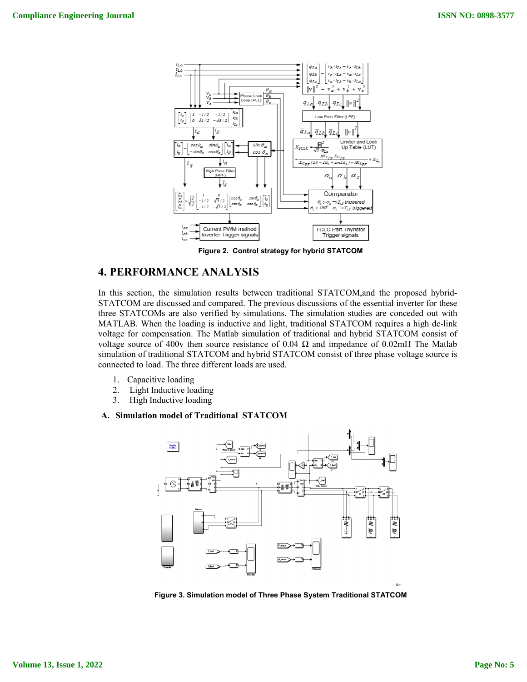

**Figure 2. Control strategy for hybrid STATCOM**

## **4. PERFORMANCE ANALYSIS**

In this section, the simulation results between traditional STATCOM,and the proposed hybrid-STATCOM are discussed and compared. The previous discussions of the essential inverter for these three STATCOMs are also verified by simulations. The simulation studies are conceded out with MATLAB. When the loading is inductive and light, traditional STATCOM requires a high dc-link voltage for compensation. The Matlab simulation of traditional and hybrid STATCOM consist of voltage source of 400v then source resistance of 0.04  $\Omega$  and impedance of 0.02mH The Matlab simulation of traditional STATCOM and hybrid STATCOM consist of three phase voltage source is connected to load. The three different loads are used.

- 1. Capacitive loading
- 2. Light Inductive loading
- 3. High Inductive loading

#### **A. Simulation model of Traditional STATCOM**



**Figure 3. Simulation model of Three Phase System Traditional STATCOM**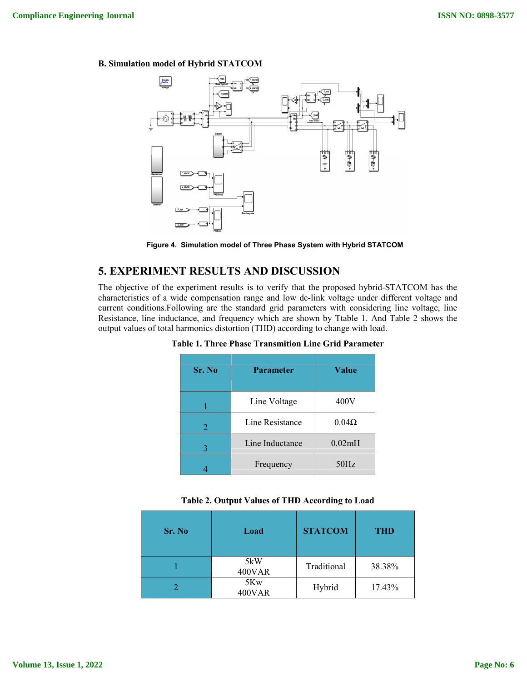### **B. Simulation model of Hybrid STATCOM**



**Figure 4. Simulation model of Three Phase System with Hybrid STATCOM**

## **5. EXPERIMENT RESULTS AND DISCUSSION**

The objective of the experiment results is to verify that the proposed hybrid-STATCOM has the characteristics of a wide compensation range and low dc-link voltage under different voltage and current conditions.Following are the standard grid parameters with considering line voltage, line Resistance, line inductance, and frequency which are shown by Ttable 1. And Table 2 shows the output values of total harmonics distortion (THD) according to change with load.

| Sr. No | <b>Parameter</b> | Value        |  |
|--------|------------------|--------------|--|
|        | Line Voltage     | 400V         |  |
| 2      | Line Resistance  | $0.04\Omega$ |  |
| 3      | Line Inductance  | 0.02mH       |  |
|        | Frequency        | 50Hz         |  |

**Table 1. Three Phase Transmition Line Grid Parameter**

|  |  | Table 2. Output Values of THD According to Load |  |
|--|--|-------------------------------------------------|--|
|  |  |                                                 |  |

| Sr. No | Load          | <b>STATCOM</b> | <b>THD</b> |
|--------|---------------|----------------|------------|
|        | 5kW<br>400VAR | Traditional    | 38.38%     |
|        | 5Kw<br>400VAR | Hybrid         | 17.43%     |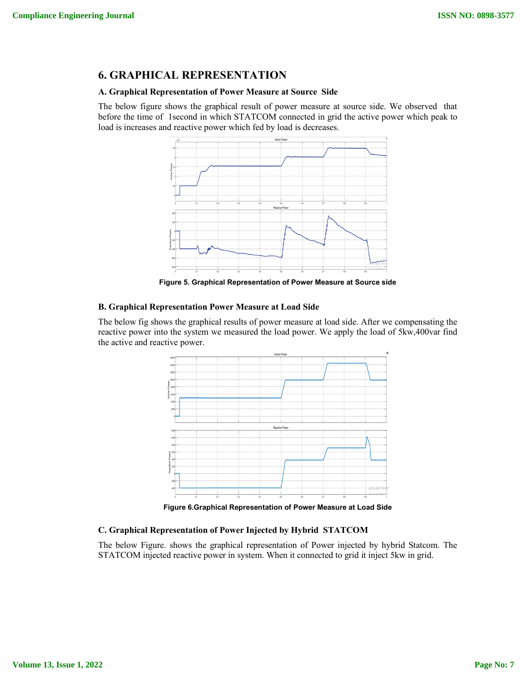## **6. GRAPHICAL REPRESENTATION**

#### **A. Graphical Representation of Power Measure at Source Side**

The below figure shows the graphical result of power measure at source side. We observed that before the time of 1second in which STATCOM connected in grid the active power which peak to load is increases and reactive power which fed by load is decreases.



**Figure 5. Graphical Representation of Power Measure at Source side**

#### **B. Graphical Representation Power Measure at Load Side**

The below fig shows the graphical results of power measure at load side. After we compensating the reactive power into the system we measured the load power. We apply the load of 5kw,400var find the active and reactive power.



**Figure 6.Graphical Representation of Power Measure at Load Side**

### **C. Graphical Representation of Power Injected by Hybrid STATCOM**

The below Figure. shows the graphical representation of Power injected by hybrid Statcom. The STATCOM injected reactive power in system. When it connected to grid it inject 5kw in grid.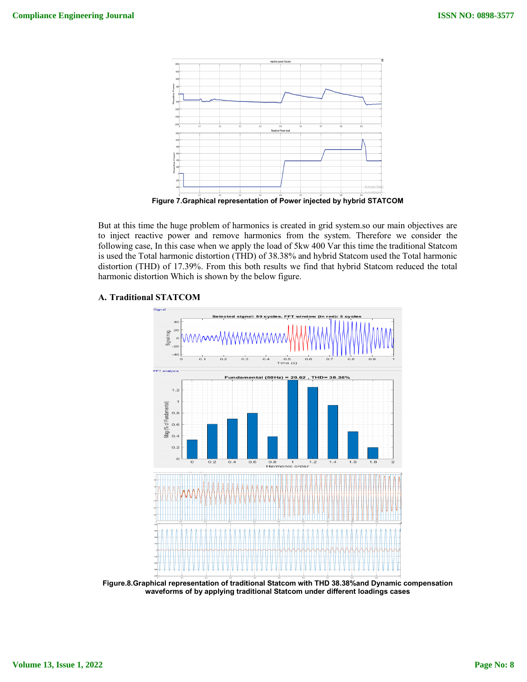

**Figure 7.Graphical representation of Power injected by hybrid STATCOM**

But at this time the huge problem of harmonics is created in grid system.so our main objectives are to inject reactive power and remove harmonics from the system. Therefore we consider the following case, In this case when we apply the load of 5kw 400 Var this time the traditional Statcom is used the Total harmonic distortion (THD) of 38.38% and hybrid Statcom used the Total harmonic distortion (THD) of 17.39%. From this both results we find that hybrid Statcom reduced the total harmonic distortion Which is shown by the below figure.



### **A. Traditional STATCOM**

**Figure.8.Graphical representation of traditional Statcom with THD 38.38%and Dynamic compensation waveforms of by applying traditional Statcom under different loadings cases**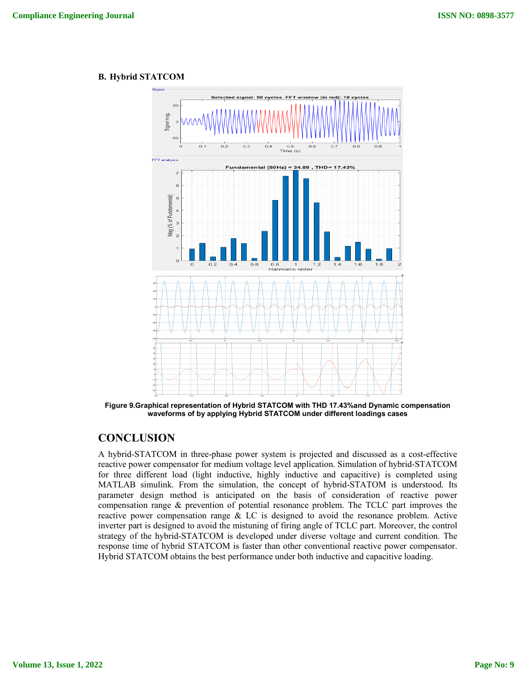### **B. Hybrid STATCOM**



**Figure 9.Graphical representation of Hybrid STATCOM with THD 17.43%and Dynamic compensation waveforms of by applying Hybrid STATCOM under different loadings cases**

## **CONCLUSION**

A hybrid-STATCOM in three-phase power system is projected and discussed as a cost-effective reactive power compensator for medium voltage level application. Simulation of hybrid-STATCOM for three different load (light inductive, highly inductive and capacitive) is completed using MATLAB simulink. From the simulation, the concept of hybrid-STATOM is understood. Its parameter design method is anticipated on the basis of consideration of reactive power compensation range & prevention of potential resonance problem. The TCLC part improves the reactive power compensation range & LC is designed to avoid the resonance problem. Active inverter part is designed to avoid the mistuning of firing angle of TCLC part. Moreover, the control strategy of the hybrid-STATCOM is developed under diverse voltage and current condition. The response time of hybrid STATCOM is faster than other conventional reactive power compensator. Hybrid STATCOM obtains the best performance under both inductive and capacitive loading.